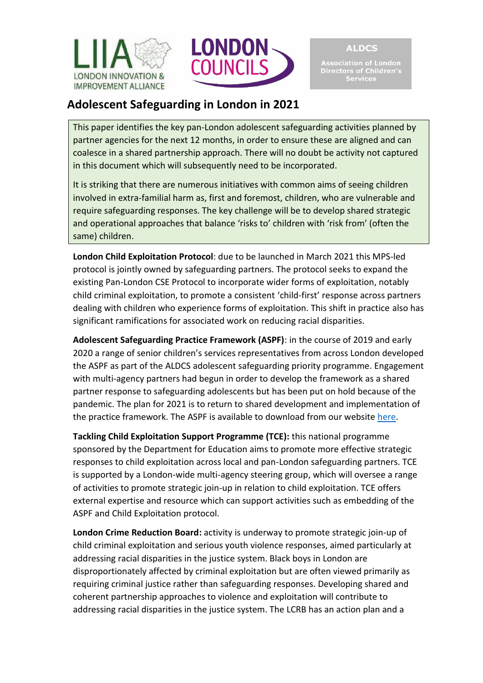



**ALDCS** 

Association of London<br>Directors of Children's<br>Services

## **Adolescent Safeguarding in London in 2021**

This paper identifies the key pan-London adolescent safeguarding activities planned by partner agencies for the next 12 months, in order to ensure these are aligned and can coalesce in a shared partnership approach. There will no doubt be activity not captured in this document which will subsequently need to be incorporated.

It is striking that there are numerous initiatives with common aims of seeing children involved in extra-familial harm as, first and foremost, children, who are vulnerable and require safeguarding responses. The key challenge will be to develop shared strategic and operational approaches that balance 'risks to' children with 'risk from' (often the same) children.

**London Child Exploitation Protocol**: due to be launched in March 2021 this MPS-led protocol is jointly owned by safeguarding partners. The protocol seeks to expand the existing Pan-London CSE Protocol to incorporate wider forms of exploitation, notably child criminal exploitation, to promote a consistent 'child-first' response across partners dealing with children who experience forms of exploitation. This shift in practice also has significant ramifications for associated work on reducing racial disparities.

**Adolescent Safeguarding Practice Framework (ASPF)**: in the course of 2019 and early 2020 a range of senior children's services representatives from across London developed the ASPF as part of the ALDCS adolescent safeguarding priority programme. Engagement with multi-agency partners had begun in order to develop the framework as a shared partner response to safeguarding adolescents but has been put on hold because of the pandemic. The plan for 2021 is to return to shared development and implementation of the practice framework. The ASPF is available to download from our website [here.](https://www.liia.london/download-file/874)

**Tackling Child Exploitation Support Programme (TCE):** this national programme sponsored by the Department for Education aims to promote more effective strategic responses to child exploitation across local and pan-London safeguarding partners. TCE is supported by a London-wide multi-agency steering group, which will oversee a range of activities to promote strategic join-up in relation to child exploitation. TCE offers external expertise and resource which can support activities such as embedding of the ASPF and Child Exploitation protocol.

**London Crime Reduction Board:** activity is underway to promote strategic join-up of child criminal exploitation and serious youth violence responses, aimed particularly at addressing racial disparities in the justice system. Black boys in London are disproportionately affected by criminal exploitation but are often viewed primarily as requiring criminal justice rather than safeguarding responses. Developing shared and coherent partnership approaches to violence and exploitation will contribute to addressing racial disparities in the justice system. The LCRB has an action plan and a